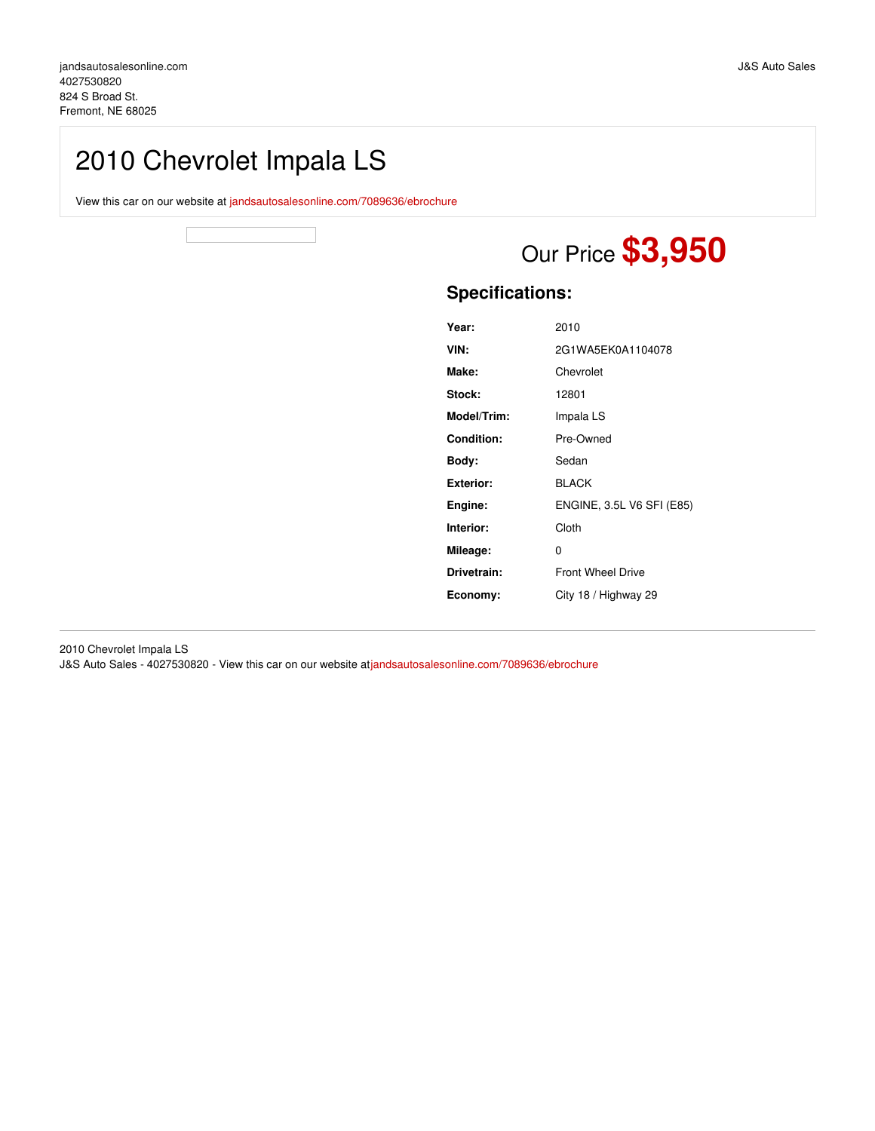# 2010 Chevrolet Impala LS

View this car on our website at [jandsautosalesonline.com/7089636/ebrochure](https://jandsautosalesonline.com/vehicle/7089636/2010-chevrolet-impala-ls-fremont-ne-68025/7089636/ebrochure)

# Our Price **\$3,950**

## **Specifications:**

| 2010                      |
|---------------------------|
| 2G1WA5EK0A1104078         |
| Chevrolet                 |
| 12801                     |
| Impala LS                 |
| Pre-Owned                 |
| Sedan                     |
| <b>BLACK</b>              |
| ENGINE, 3.5L V6 SFI (E85) |
| Cloth                     |
| 0                         |
| <b>Front Wheel Drive</b>  |
| City 18 / Highway 29      |
|                           |

2010 Chevrolet Impala LS J&S Auto Sales - 4027530820 - View this car on our website at[jandsautosalesonline.com/7089636/ebrochure](https://jandsautosalesonline.com/vehicle/7089636/2010-chevrolet-impala-ls-fremont-ne-68025/7089636/ebrochure)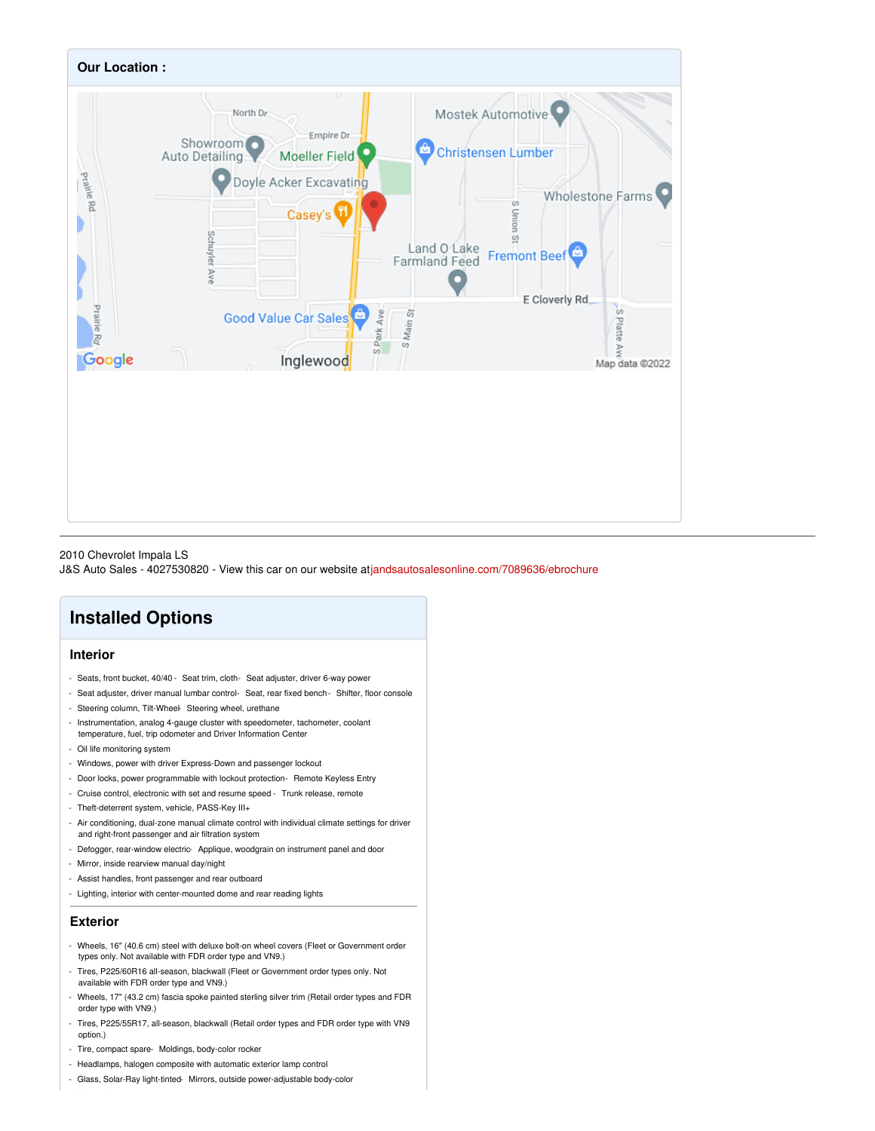

2010 Chevrolet Impala LS

J&S Auto Sales - 4027530820 - View this car on our website at[jandsautosalesonline.com/7089636/ebrochure](https://jandsautosalesonline.com/vehicle/7089636/2010-chevrolet-impala-ls-fremont-ne-68025/7089636/ebrochure)

# **Installed Options**

#### **Interior**

- Seats, front bucket, 40/40 Seat trim, cloth- Seat adjuster, driver 6-way power
- Seat adjuster, driver manual lumbar control- Seat, rear fixed bench- Shifter, floor console
- Steering column, Tilt-Wheel- Steering wheel, urethane
- Instrumentation, analog 4-gauge cluster with speedometer, tachometer, coolant
- temperature, fuel, trip odometer and Driver Information Center
- Oil life monitoring system
- Windows, power with driver Express-Down and passenger lockout
- Door locks, power programmable with lockout protection- Remote Keyless Entry
- Cruise control, electronic with set and resume speed Trunk release, remote
- Theft-deterrent system, vehicle, PASS-Key III+
- Air conditioning, dual-zone manual climate control with individual climate settings for driver and right-front passenger and air filtration system
- Defogger, rear-window electric- Applique, woodgrain on instrument panel and door
- Mirror, inside rearview manual day/night
- Assist handles, front passenger and rear outboard
- Lighting, interior with center-mounted dome and rear reading lights

#### **Exterior**

- Wheels, 16" (40.6 cm) steel with deluxe bolt-on wheel covers (Fleet or Government order types only. Not available with FDR order type and VN9.)
- Tires, P225/60R16 all-season, blackwall (Fleet or Government order types only. Not available with FDR order type and VN9.)
- Wheels, 17" (43.2 cm) fascia spoke painted sterling silver trim (Retail order types and FDR order type with VN9.)
- Tires, P225/55R17, all-season, blackwall (Retail order types and FDR order type with VN9 option.)
- Tire, compact spare- Moldings, body-color rocker
- Headlamps, halogen composite with automatic exterior lamp control
- Glass, Solar-Ray light-tinted- Mirrors, outside power-adjustable body-color